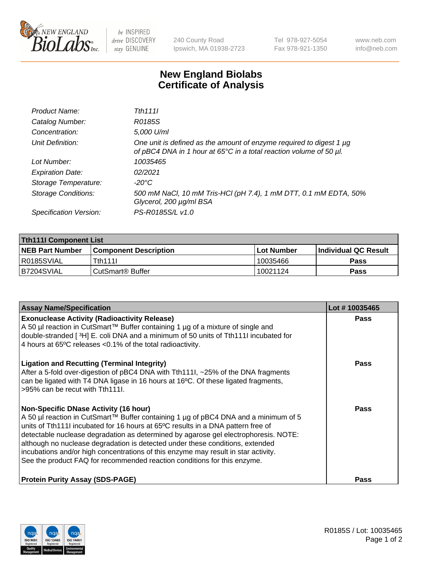

 $be$  INSPIRED drive DISCOVERY stay GENUINE

240 County Road Ipswich, MA 01938-2723 Tel 978-927-5054 Fax 978-921-1350 www.neb.com info@neb.com

## **New England Biolabs Certificate of Analysis**

| Product Name:              | Tth 1111                                                                                                                                  |
|----------------------------|-------------------------------------------------------------------------------------------------------------------------------------------|
| Catalog Number:            | R0185S                                                                                                                                    |
| Concentration:             | 5,000 U/ml                                                                                                                                |
| Unit Definition:           | One unit is defined as the amount of enzyme required to digest 1 µg<br>of pBC4 DNA in 1 hour at 65°C in a total reaction volume of 50 µl. |
| Lot Number:                | 10035465                                                                                                                                  |
| <b>Expiration Date:</b>    | 02/2021                                                                                                                                   |
| Storage Temperature:       | -20°C                                                                                                                                     |
| <b>Storage Conditions:</b> | 500 mM NaCl, 10 mM Tris-HCl (pH 7.4), 1 mM DTT, 0.1 mM EDTA, 50%<br>Glycerol, 200 µg/ml BSA                                               |
| Specification Version:     | PS-R0185S/L v1.0                                                                                                                          |

| <b>Tth111I Component List</b> |                         |              |                             |  |  |
|-------------------------------|-------------------------|--------------|-----------------------------|--|--|
| <b>NEB Part Number</b>        | l Component Description | l Lot Number | <b>Individual QC Result</b> |  |  |
| I R0185SVIAL                  | <b>Tth1111</b>          | 10035466     | <b>Pass</b>                 |  |  |
| B7204SVIAL                    | l CutSmart® Buffer      | 10021124     | Pass                        |  |  |

| <b>Assay Name/Specification</b>                                                                                                                                                                                                                                                                                                                                                                                                                                                                                                                                   | Lot #10035465 |
|-------------------------------------------------------------------------------------------------------------------------------------------------------------------------------------------------------------------------------------------------------------------------------------------------------------------------------------------------------------------------------------------------------------------------------------------------------------------------------------------------------------------------------------------------------------------|---------------|
| <b>Exonuclease Activity (Radioactivity Release)</b><br>A 50 µl reaction in CutSmart™ Buffer containing 1 µg of a mixture of single and<br>double-stranded [3H] E. coli DNA and a minimum of 50 units of Tth111I incubated for<br>4 hours at 65°C releases <0.1% of the total radioactivity.                                                                                                                                                                                                                                                                       | Pass          |
| <b>Ligation and Recutting (Terminal Integrity)</b><br>After a 5-fold over-digestion of pBC4 DNA with Tth1111, ~25% of the DNA fragments<br>can be ligated with T4 DNA ligase in 16 hours at 16°C. Of these ligated fragments,<br>>95% can be recut with Tth111.                                                                                                                                                                                                                                                                                                   | Pass          |
| <b>Non-Specific DNase Activity (16 hour)</b><br>A 50 µl reaction in CutSmart™ Buffer containing 1 µg of pBC4 DNA and a minimum of 5<br>units of Tth111I incubated for 16 hours at 65°C results in a DNA pattern free of<br>detectable nuclease degradation as determined by agarose gel electrophoresis. NOTE:<br>although no nuclease degradation is detected under these conditions, extended<br>incubations and/or high concentrations of this enzyme may result in star activity.<br>See the product FAQ for recommended reaction conditions for this enzyme. | Pass          |
| <b>Protein Purity Assay (SDS-PAGE)</b>                                                                                                                                                                                                                                                                                                                                                                                                                                                                                                                            | Pass          |